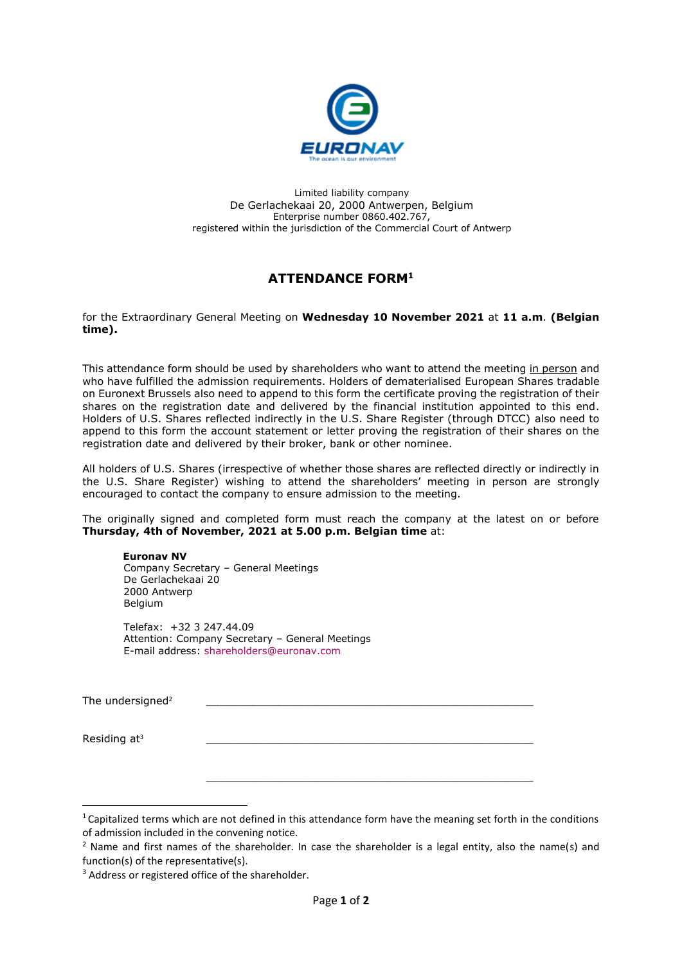

Limited liability company De Gerlachekaai 20, 2000 Antwerpen, Belgium Enterprise number 0860.402.767, registered within the jurisdiction of the Commercial Court of Antwerp

## **ATTENDANCE FORM<sup>1</sup>**

for the Extraordinary General Meeting on **Wednesday 10 November 2021** at **11 a.m**. **(Belgian time).**

This attendance form should be used by shareholders who want to attend the meeting in person and who have fulfilled the admission requirements. Holders of dematerialised European Shares tradable on Euronext Brussels also need to append to this form the certificate proving the registration of their shares on the registration date and delivered by the financial institution appointed to this end. Holders of U.S. Shares reflected indirectly in the U.S. Share Register (through DTCC) also need to append to this form the account statement or letter proving the registration of their shares on the registration date and delivered by their broker, bank or other nominee.

All holders of U.S. Shares (irrespective of whether those shares are reflected directly or indirectly in the U.S. Share Register) wishing to attend the shareholders' meeting in person are strongly encouraged to contact the company to ensure admission to the meeting.

The originally signed and completed form must reach the company at the latest on or before **Thursday, 4th of November, 2021 at 5.00 p.m. Belgian time** at:

## **Euronav NV**

Company Secretary – General Meetings De Gerlachekaai 20 2000 Antwerp Belgium

Telefax: +32 3 247.44.09 Attention: Company Secretary – General Meetings E-mail address: [shareholders@euronav.com](mailto:shareholders@euronav.com)

The undersigned<sup>2</sup>

Residing at<sup>3</sup>

\_\_\_\_\_\_\_\_\_\_\_\_\_\_\_\_\_\_\_\_\_\_\_\_\_\_\_\_\_\_\_\_\_\_\_\_\_\_\_\_\_\_\_\_\_\_\_\_\_\_

 $1$  Capitalized terms which are not defined in this attendance form have the meaning set forth in the conditions of admission included in the convening notice.

<sup>&</sup>lt;sup>2</sup> Name and first names of the shareholder. In case the shareholder is a legal entity, also the name(s) and function(s) of the representative(s).

<sup>&</sup>lt;sup>3</sup> Address or registered office of the shareholder.